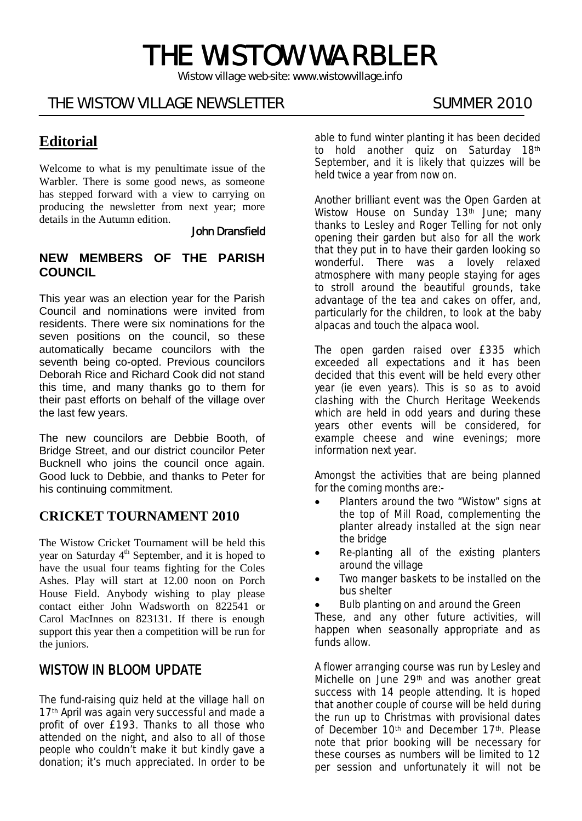# THE WISTOW WARBLER

*Wistow village web-site: www.wistowvillage.info* 

İ

# THE WISTOW VILLAGE NEWSLETTER SUMMER 2010

# **Editorial**

Welcome to what is my penultimate issue of the Warbler. There is some good news, as someone has stepped forward with a view to carrying on producing the newsletter from next year; more details in the Autumn edition.

### John Dransfield

### **NEW MEMBERS OF THE PARISH COUNCIL**

This year was an election year for the Parish Council and nominations were invited from residents. There were six nominations for the seven positions on the council, so these automatically became councilors with the seventh being co-opted. Previous councilors Deborah Rice and Richard Cook did not stand this time, and many thanks go to them for their past efforts on behalf of the village over the last few years.

The new councilors are Debbie Booth, of Bridge Street, and our district councilor Peter Bucknell who joins the council once again. Good luck to Debbie, and thanks to Peter for his continuing commitment.

### **CRICKET TOURNAMENT 2010**

The Wistow Cricket Tournament will be held this year on Saturday 4<sup>th</sup> September, and it is hoped to have the usual four teams fighting for the Coles Ashes. Play will start at 12.00 noon on Porch House Field. Anybody wishing to play please contact either John Wadsworth on 822541 or Carol MacInnes on 823131. If there is enough support this year then a competition will be run for the juniors.

# WISTOW IN BLOOM UPDATE

The fund-raising quiz held at the village hall on 17<sup>th</sup> April was again very successful and made a profit of over £193. Thanks to all those who attended on the night, and also to all of those people who couldn't make it but kindly gave a donation; it's much appreciated. In order to be able to fund winter planting it has been decided to hold another quiz on Saturday 18th September, and it is likely that quizzes will be held twice a year from now on.

Another brilliant event was the Open Garden at Wistow House on Sunday 13<sup>th</sup> June; many thanks to Lesley and Roger Telling for not only opening their garden but also for all the work that they put in to have their garden looking so wonderful. There was a lovely relaxed atmosphere with many people staying for ages to stroll around the beautiful grounds, take advantage of the tea and cakes on offer, and, particularly for the children, to look at the baby alpacas and touch the alpaca wool.

The open garden raised over £335 which exceeded all expectations and it has been decided that this event will be held every other year (ie even years). This is so as to avoid clashing with the Church Heritage Weekends which are held in odd years and during these years other events will be considered, for example cheese and wine evenings; more information next year.

Amongst the activities that are being planned for the coming months are:-

- Planters around the two "Wistow" signs at the top of Mill Road, complementing the planter already installed at the sign near the bridge
- Re-planting all of the existing planters around the village
- Two manger baskets to be installed on the bus shelter
- Bulb planting on and around the Green

These, and any other future activities, will happen when seasonally appropriate and as funds allow.

A flower arranging course was run by Lesley and Michelle on June 29<sup>th</sup> and was another great success with 14 people attending. It is hoped that another couple of course will be held during the run up to Christmas with provisional dates of December 10<sup>th</sup> and December 17<sup>th</sup>. Please note that prior booking will be necessary for these courses as numbers will be limited to 12 per session and unfortunately it will not be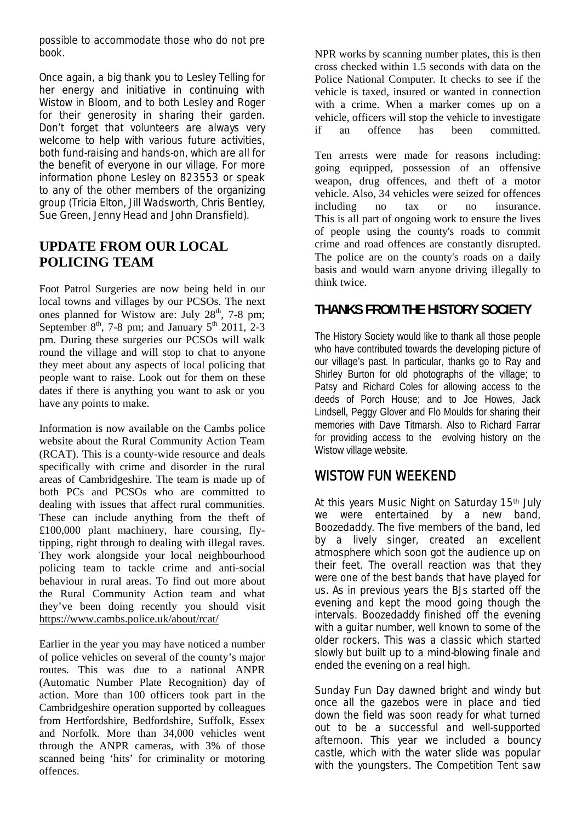possible to accommodate those who do not pre book.

Once again, a big thank you to Lesley Telling for her energy and initiative in continuing with Wistow in Bloom, and to both Lesley and Roger for their generosity in sharing their garden. Don't forget that volunteers are always very welcome to help with various future activities, both fund-raising and hands-on, which are all for the benefit of everyone in our village. For more information phone Lesley on 823553 or speak to any of the other members of the organizing group (Tricia Elton, Jill Wadsworth, Chris Bentley, Sue Green, Jenny Head and John Dransfield).

# **UPDATE FROM OUR LOCAL POLICING TEAM**

Foot Patrol Surgeries are now being held in our local towns and villages by our PCSOs. The next ones planned for Wistow are: July 28<sup>th</sup>, 7-8 pm; September  $8<sup>th</sup>$ , 7-8 pm; and January  $5<sup>th</sup>$  2011, 2-3 pm. During these surgeries our PCSOs will walk round the village and will stop to chat to anyone they meet about any aspects of local policing that people want to raise. Look out for them on these dates if there is anything you want to ask or you have any points to make.

Information is now available on the Cambs police website about the Rural Community Action Team (RCAT). This is a county-wide resource and deals specifically with crime and disorder in the rural areas of Cambridgeshire. The team is made up of both PCs and PCSOs who are committed to dealing with issues that affect rural communities. These can include anything from the theft of £100,000 plant machinery, hare coursing, flytipping, right through to dealing with illegal raves. They work alongside your local neighbourhood policing team to tackle crime and anti-social behaviour in rural areas. To find out more about the Rural Community Action team and what they've been doing recently you should visit https://www.cambs.police.uk/about/rcat/

Earlier in the year you may have noticed a number of police vehicles on several of the county's major routes. This was due to a national ANPR (Automatic Number Plate Recognition) day of action. More than 100 officers took part in the Cambridgeshire operation supported by colleagues from Hertfordshire, Bedfordshire, Suffolk, Essex and Norfolk. More than 34,000 vehicles went through the ANPR cameras, with 3% of those scanned being 'hits' for criminality or motoring offences.

NPR works by scanning number plates, this is then cross checked within 1.5 seconds with data on the Police National Computer. It checks to see if the vehicle is taxed, insured or wanted in connection with a crime. When a marker comes up on a vehicle, officers will stop the vehicle to investigate if an offence has been committed.

Ten arrests were made for reasons including: going equipped, possession of an offensive weapon, drug offences, and theft of a motor vehicle. Also, 34 vehicles were seized for offences including no tax or no insurance. This is all part of ongoing work to ensure the lives of people using the county's roads to commit crime and road offences are constantly disrupted. The police are on the county's roads on a daily basis and would warn anyone driving illegally to think twice.

# **THANKS FROM THE HISTORY SOCIETY**

The History Society would like to thank all those people who have contributed towards the developing picture of our village's past. In particular, thanks go to Ray and Shirley Burton for old photographs of the village; to Patsy and Richard Coles for allowing access to the deeds of Porch House; and to Joe Howes, Jack Lindsell, Peggy Glover and Flo Moulds for sharing their memories with Dave Titmarsh. Also to Richard Farrar for providing access to the evolving history on the Wistow village website.

# WISTOW FUN WEEKEND

At this years Music Night on Saturday 15<sup>th</sup> July we were entertained by a new band, Boozedaddy. The five members of the band, led by a lively singer, created an excellent atmosphere which soon got the audience up on their feet. The overall reaction was that they were one of the best bands that have played for us. As in previous years the BJs started off the evening and kept the mood going though the intervals. Boozedaddy finished off the evening with a guitar number, well known to some of the older rockers. This was a classic which started slowly but built up to a mind-blowing finale and ended the evening on a real high.

Sunday Fun Day dawned bright and windy but once all the gazebos were in place and tied down the field was soon ready for what turned out to be a successful and well-supported afternoon. This year we included a bouncy castle, which with the water slide was popular with the youngsters. The Competition Tent saw